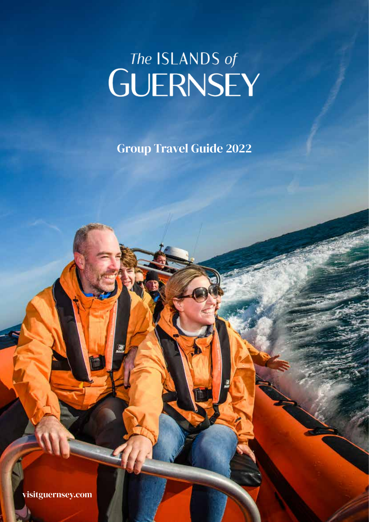# The ISLANDS of<br>GUERNSEY

Group Travel Guide 2022

visitguernsey.com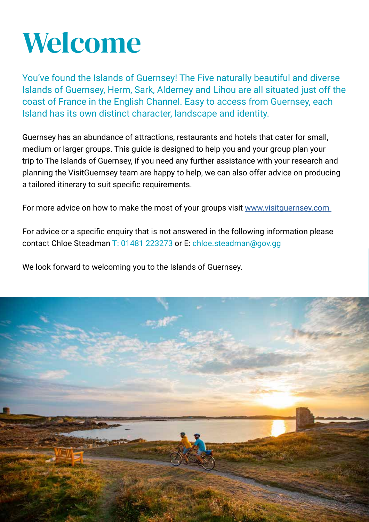

You've found the Islands of Guernsey! The Five naturally beautiful and diverse Islands of Guernsey, Herm, Sark, Alderney and Lihou are all situated just off the coast of France in the English Channel. Easy to access from Guernsey, each Island has its own distinct character, landscape and identity.

Guernsey has an abundance of attractions, restaurants and hotels that cater for small, medium or larger groups. This guide is designed to help you and your group plan your trip to The Islands of Guernsey, if you need any further assistance with your research and planning the VisitGuernsey team are happy to help, we can also offer advice on producing a tailored itinerary to suit specific requirements.

For more advice on how to make the most of your groups visit www.visitguernsey.com

For advice or a specific enquiry that is not answered in the following information please contact Chloe Steadman T: 01481 223273 or E: chloe.steadman@gov.gg

We look forward to welcoming you to the Islands of Guernsey.

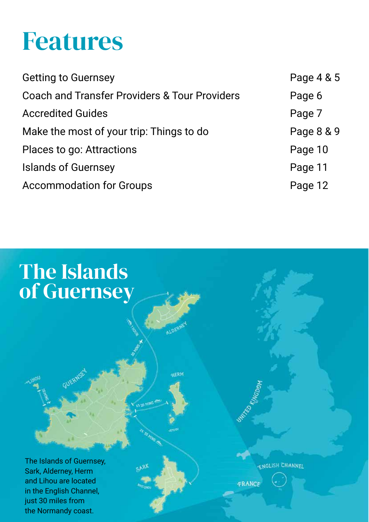### Features

| Page 4 & 5 |
|------------|
| Page 6     |
| Page 7     |
| Page 8 & 9 |
| Page 10    |
| Page 11    |
| Page 12    |
|            |

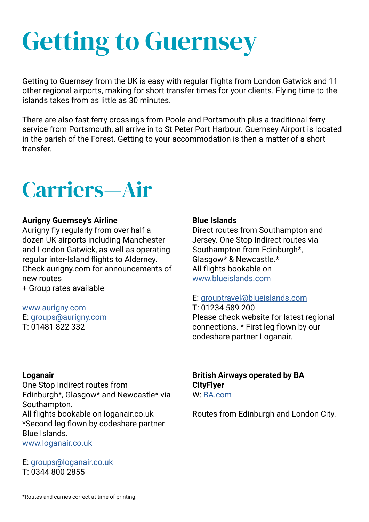# Getting to Guernsey

Getting to Guernsey from the UK is easy with regular flights from London Gatwick and 11 other regional airports, making for short transfer times for your clients. Flying time to the islands takes from as little as 30 minutes.

There are also fast ferry crossings from Poole and Portsmouth plus a traditional ferry service from Portsmouth, all arrive in to St Peter Port Harbour. Guernsey Airport is located in the parish of the Forest. Getting to your accommodation is then a matter of a short transfer.



#### **Aurigny Guernsey's Airline**

Aurigny fly regularly from over half a dozen UK airports including Manchester and London Gatwick, as well as operating regular inter-Island flights to Alderney. Check aurigny.com for announcements of new routes

+ Group rates available

www.aurigny.com E: groups@aurigny.com T: 01481 822 332

#### **Loganair**

One Stop Indirect routes from Edinburgh\*, Glasgow\* and Newcastle\* via Southampton. All flights bookable on loganair.co.uk \*Second leg flown by codeshare partner Blue Islands. www.loganair.co.uk

E: groups@loganair.co.uk T: 0344 800 2855

#### **Blue Islands**

Direct routes from Southampton and Jersey. One Stop Indirect routes via Southampton from Edinburgh\*, Glasgow\* & Newcastle.\* All flights bookable on www.blueislands.com

#### E: grouptravel@blueislands.com

T: 01234 589 200 Please check website for latest regional connections. \* First leg flown by our codeshare partner Loganair.

**British Airways operated by BA CityFlyer**  W: BA.com

Routes from Edinburgh and London City.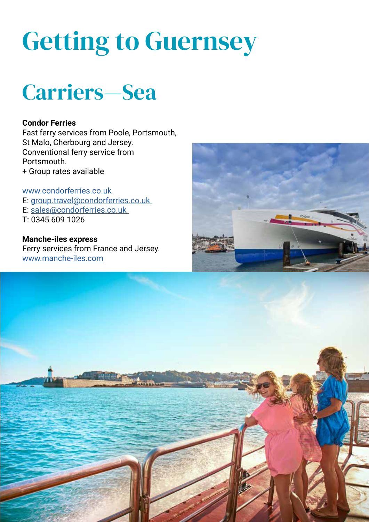# Getting to Guernsey



#### **Condor Ferries**

Fast ferry services from Poole, Portsmouth, St Malo, Cherbourg and Jersey. Conventional ferry service from Portsmouth. + Group rates available

www.condorferries.co.uk E: group.travel@condorferries.co.uk E: sales@condorferries.co.uk T: 0345 609 1026

**Manche-iles express** Ferry services from France and Jersey. www.manche-iles.com



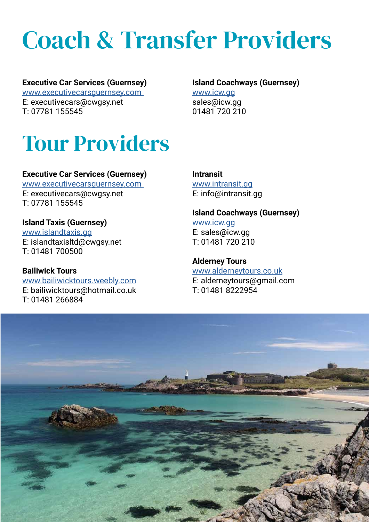### Coach & Transfer Providers

#### **Executive Car Services (Guernsey)**

www.executivecarsguernsey.com E: executivecars@cwgsy.net T: 07781 155545

#### **Island Coachways (Guernsey)**

www.icw.gg sales@icw.gg 01481 720 210

### Tour Providers

#### **Executive Car Services (Guernsey)**

www.executivecarsguernsey.com E: executivecars@cwgsy.net T: 07781 155545

#### **Island Taxis (Guernsey)**

www.islandtaxis.gg E: islandtaxisltd@cwgsy.net T: 01481 700500

#### **Bailiwick Tours**  www.bailiwicktours.weebly.com E: bailiwicktours@hotmail.co.uk T: 01481 266884

#### **Intransit** www.intransit.gg E: info@intransit.gg

#### **Island Coachways (Guernsey)**

www.icw.gg E: sales@icw.gg  $T: 01481 720 210$ 

**Alderney Tours**  www.alderneytours.co.uk E: alderneytours@gmail.com T: 01481 8222954

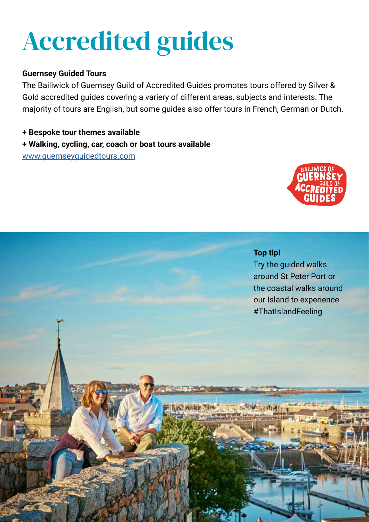## Accredited guides

#### **Guernsey Guided Tours**

The Bailiwick of Guernsey Guild of Accredited Guides promotes tours offered by Silver & Gold accredited guides covering a variery of different areas, subjects and interests. The majority of tours are English, but some guides also offer tours in French, German or Dutch.

**MIZIN' MARY YES** 

- **+ Bespoke tour themes available**
- **+ Walking, cycling, car, coach or boat tours available**

www.guernseyguidedtours.com



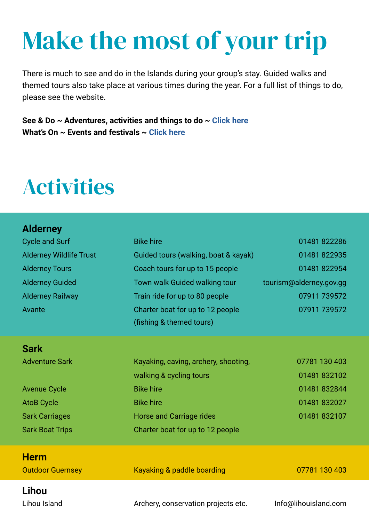### Make the most of your trip

There is much to see and do in the Islands during your group's stay. Guided walks and themed tours also take place at various times during the year. For a full list of things to do, please see the website.

**See & Do ~ Adventures, activities and things to do ~ Click here What's On ~ Events and festivals ~ Click here**

### Activities

| <b>Alderney</b>                |                                      |                         |
|--------------------------------|--------------------------------------|-------------------------|
| <b>Cycle and Surf</b>          | <b>Bike hire</b>                     | 01481822286             |
| <b>Alderney Wildlife Trust</b> | Guided tours (walking, boat & kayak) | 01481 822935            |
| <b>Alderney Tours</b>          | Coach tours for up to 15 people      | 01481 822954            |
| <b>Alderney Guided</b>         | Town walk Guided walking tour        | tourism@alderney.gov.gg |
| <b>Alderney Railway</b>        | Train ride for up to 80 people       | 07911 739572            |
| Avante                         | Charter boat for up to 12 people     | 07911 739572            |
|                                | (fishing & themed tours)             |                         |
| <b>Sark</b>                    |                                      |                         |
| <b>Adventure Sark</b>          | Kayaking, caving, archery, shooting, | 07781 130 403           |
|                                | walking & cycling tours              | 01481832102             |
| <b>Avenue Cycle</b>            | <b>Bike hire</b>                     | 01481 832844            |
| <b>AtoB Cycle</b>              | <b>Bike hire</b>                     | 01481832027             |
| <b>Sark Carriages</b>          | <b>Horse and Carriage rides</b>      | 01481 832107            |
| <b>Sark Boat Trips</b>         | Charter boat for up to 12 people     |                         |
| <b>Herm</b>                    |                                      |                         |
| <b>Outdoor Guernsey</b>        | Kayaking & paddle boarding           | 07781 130 403           |
| <b>Lihou</b>                   |                                      |                         |
| Lihou Island                   | Archery, conservation projects etc.  | Info@lihouisland.com    |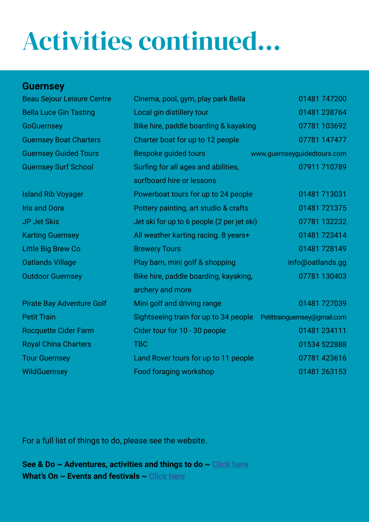# Activities continued...

#### **Guernsey**

| <b>Beau Sejour Leisure Centre</b> | 01481 747200<br>Cinema, pool, gym, play park Bella |                              |
|-----------------------------------|----------------------------------------------------|------------------------------|
| <b>Bella Luce Gin Tasting</b>     | Local gin distillery tour                          | 01481 238764                 |
| <b>GoGuernsey</b>                 | Bike hire, paddle boarding & kayaking              | 07781 103692                 |
| <b>Guernsey Boat Charters</b>     | Charter boat for up to 12 people                   | 07781 147477                 |
| <b>Guernsey Guided Tours</b>      | Bespoke guided tours                               | www.guernseyguidedtours.com  |
| <b>Guernsey Surf School</b>       | Surfing for all ages and abilities,                | 07911 710789                 |
|                                   | surfboard hire or lessons                          |                              |
| <b>Island Rib Voyager</b>         | Powerboat tours for up to 24 people                | 01481 713031                 |
| <b>Iris and Dora</b>              | Pottery painting, art studio & crafts              | 01481 721375                 |
| <b>JP Jet Skis</b>                | Jet ski for up to 6 people (2 per jet ski)         | 07781 132232                 |
| <b>Karting Guernsey</b>           | All weather karting racing. 8 years+               | 01481723414                  |
| Little Big Brew Co                | <b>Brewery Tours</b>                               | 01481728149                  |
| <b>Oatlands Village</b>           | Play barn, mini golf & shopping                    | info@oatlands.gg             |
| <b>Outdoor Guernsey</b>           | Bike hire, paddle boarding, kayaking,              | 07781 130403                 |
|                                   | archery and more                                   |                              |
| <b>Pirate Bay Adventure Golf</b>  | Mini golf and driving range                        | 01481 727039                 |
| <b>Petit Train</b>                | Sightseeing train for up to 34 people              | Petittrainguernsey@gmail.com |
| <b>Rocquette Cider Farm</b>       | Cider tour for 10 - 30 people                      | 01481 234111                 |
| <b>Royal China Charters</b>       | <b>TBC</b>                                         | 01534 522888                 |
| <b>Tour Guernsey</b>              | Land Rover tours for up to 11 people               | 07781 423616                 |
| <b>WildGuernsey</b>               | <b>Food foraging workshop</b>                      | 01481 263153                 |

For a full list of things to do, please see the website.

**See & Do ~ Adventures, activities and things to do ~ Click here What's On ~ Events and festivals ~ Click here**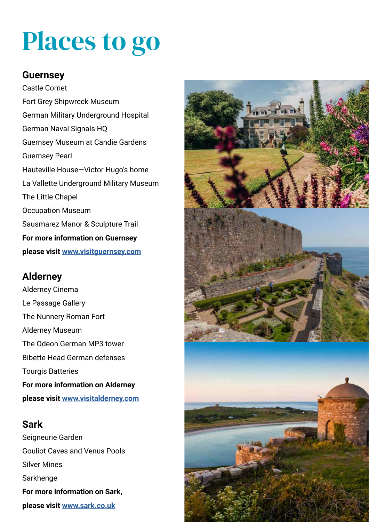### Places to go

#### **Guernsey**

Castle Cornet Fort Grey Shipwreck Museum German Military Underground Hospital German Naval Signals HQ Guernsey Museum at Candie Gardens Guernsey Pearl Hauteville House—Victor Hugo's home La Vallette Underground Military Museum The Little Chapel Occupation Museum Sausmarez Manor & Sculpture Trail **For more information on Guernsey please visit www.visitguernsey.com**

#### **Alderney**

Alderney Cinema Le Passage Gallery The Nunnery Roman Fort Alderney Museum The Odeon German MP3 tower Bibette Head German defenses Tourgis Batteries **For more information on Alderney please visit www.visitalderney.com**

#### **Sark**

Seigneurie Garden Gouliot Caves and Venus Pools Silver Mines **Sarkhenge For more information on Sark, please visit www.sark.co.uk**

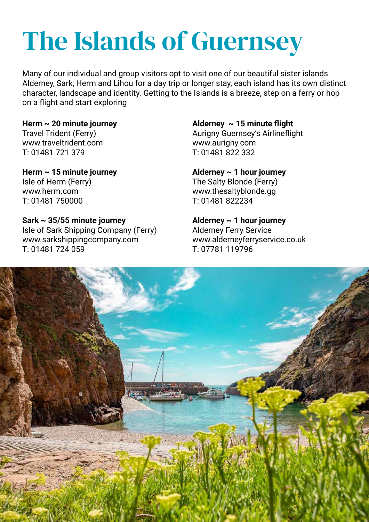# The Islands of Guernsey

Many of our individual and group visitors opt to visit one of our beautiful sister islands Alderney, Sark, Herm and Lihou for a day trip or longer stay, each island has its own distinct character, landscape and identity. Getting to the Islands is a breeze, step on a ferry or hop on a flight and start exploring

#### **Herm ~ 20 minute journey** Travel Trident (Ferry) www.traveltrident.com T: 01481 721 379

#### **Herm ~ 15 minute journey** Isle of Herm (Ferry) www.herm.com T: 01481 750000

#### **Sark ~ 35/55 minute journey**

Isle of Sark Shipping Company (Ferry) www.sarkshippingcompany.com T: 01481 724 059

#### **Alderney ~ 15 minute flight**

Aurigny Guernsey's Airlineflight www.aurigny.com T: 01481 822 332

#### **Alderney ~ 1 hour journey**

The Salty Blonde (Ferry) www.thesaltyblonde.gg T: 01481 822234

#### **Alderney ~ 1 hour journey**

Alderney Ferry Service www.alderneyferryservice.co.uk T: 07781 119796